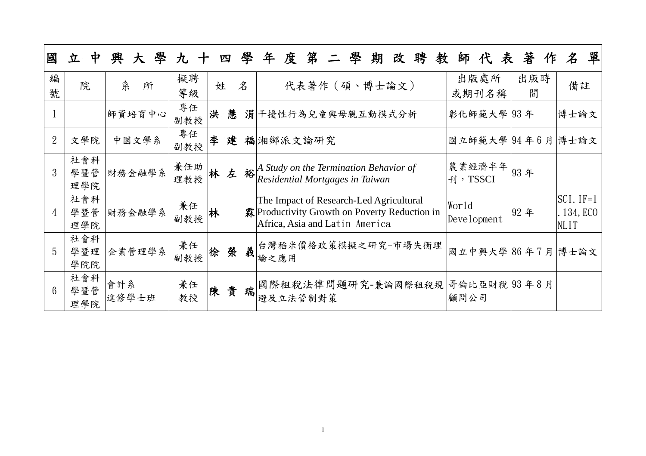| 國               | 中<br>立            | 學<br>興<br>大  | 九十         |   | 四 | 學 | 年度第二學期改聘教師代表<br>著作                                                                                                                                         | 單<br>$\mathcal{Z}$                      |
|-----------------|-------------------|--------------|------------|---|---|---|------------------------------------------------------------------------------------------------------------------------------------------------------------|-----------------------------------------|
| 編<br>號          | 院                 | 糸<br>所       | 擬聘<br>等級   | 姓 |   | 名 | 出版處所<br>出版時<br>代表著作 (碩、博士論文)<br>或期刊名稱<br>間                                                                                                                 | 備註                                      |
|                 |                   | 師資培育中心       | 專任<br>副教授  | 洪 |   |   | 慧 涓干擾性行為兒童與母親互動模式分析<br>彰化師範大學  93年                                                                                                                         | 博士論文                                    |
| $\overline{2}$  | 文學院               | 中國文學系        | 專任<br>副教授  | 李 |   |   | 建 福湘鄉派文論研究<br>國立師範大學  94年6月  博士論文                                                                                                                          |                                         |
| 3               | 社會科<br>學暨管<br>理學院 | 財務金融學系       | 兼任助<br>理教授 |   | 左 |   | 農業經濟半年 $\left 93\right $ 年<br>$\frac{1}{4}$ Study on the Termination Behavior of Residential Mortgages in Taiwan<br>刊, TSSCI                               |                                         |
| $\overline{4}$  | 社會科<br>學暨管<br>理學院 | 財務金融學系       | 兼任<br>副教授  | 林 |   |   | The Impact of Research-Led Agricultural<br>World<br>霖 Productivity Growth on Poverty Reduction in<br> 92年<br>Development<br>Africa, Asia and Latin America | $SCI$ . IF=1<br>134, ECO<br><b>NLIT</b> |
| 5               | 社會科<br>學暨理<br>學院院 | 企業管理學系       | 兼任<br>副教授  | 徐 | 榮 | 義 | 台灣稻米價格政策模擬之研究-市場失衡理<br>國立中興大學 86年7月 博士論文<br>論之應用                                                                                                           |                                         |
| $6\overline{6}$ | 社會科<br>學暨管<br>理學院 | 會計系<br>進修學士班 | 兼任<br>教授   | 陳 | 貴 | 瑞 | 國際租稅法律問題研究-兼論國際租稅規 哥倫比亞財稅 93年8月<br>顧問公司<br>避及立法管制對策                                                                                                        |                                         |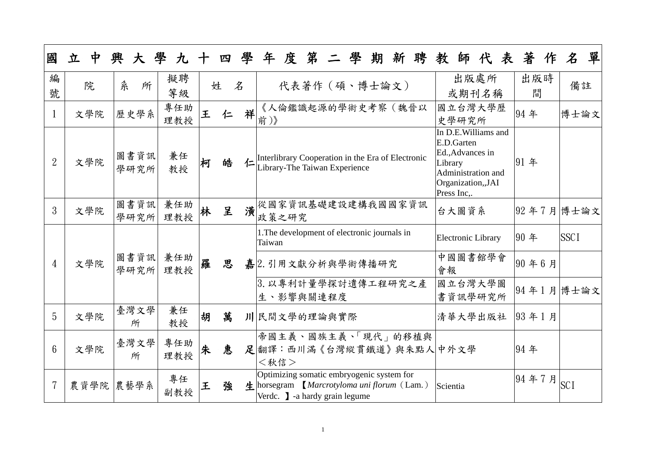| 國              | 立<br>中    | 興<br>大                     | 學九十        |   |   | 四學                               | 度第二學<br>期<br>新聘<br>年<br>教                                                                                                                                    | 師代表                                                             | 著作                               | 單<br>$\mathcal{Z}$ |
|----------------|-----------|----------------------------|------------|---|---|----------------------------------|--------------------------------------------------------------------------------------------------------------------------------------------------------------|-----------------------------------------------------------------|----------------------------------|--------------------|
| 編<br>號         | 院         | 糸<br>所                     | 擬聘<br>等級   |   | 姓 | 名                                | 代表著作 (碩、博士論文)                                                                                                                                                | 出版處所<br>或期刊名稱                                                   | 出版時<br>間                         | 備註                 |
| $\mathbf{1}$   | 文學院       | 歷史學系                       | 專任助<br>理教授 | 王 | 仁 | 祥                                | 《人倫鑑識起源的學術史考察(魏晉以<br>前)》<br>史學研究所                                                                                                                            | 國立台灣大學歷                                                         | 94年                              | 博士論文               |
| $\overline{2}$ | 文學院       | 圖書資訊<br>學研究所               | 兼任<br>教授   | 柯 | 皓 | 仁                                | E.D.Garten<br>Ed., Advances in<br>Interlibrary Cooperation in the Era of Electronic<br>Library<br>Library-The Taiwan Experience<br>Press Inc,.               | In D.E. Williams and<br>Administration and<br>Organization, JAI | 91年                              |                    |
| 3              | 文學院       | 圖書資訊<br>學研究所               | 兼任助<br>理教授 | 林 | 呈 | 潢                                | 從國家資訊基礎建設建構我國國家資訊<br>台大圖資系<br>政策之研究                                                                                                                          |                                                                 |                                  | 92年7月 博士論文         |
|                | 文學院       | 圖書資訊<br>兼任助<br>學研究所<br>理教授 |            |   | 思 |                                  | 1. The development of electronic journals in<br>Taiwan                                                                                                       | <b>Electronic Library</b>                                       | 90年                              | <b>SSCI</b>        |
| $\overline{4}$ |           |                            |            | 羅 |   |                                  | 嘉2. 引用文獻分析與學術傳播研究<br>會報                                                                                                                                      | 中國圖書館學會                                                         | 90年6月                            |                    |
|                |           |                            |            |   |   | 3. 以專利計量學探討遺傳工程研究之產<br>生、影響與關連程度 | 國立台灣大學圖<br>書資訊學研究所                                                                                                                                           |                                                                 | $ 94\oplus1\ \textrm{\AA} $ 博士論文 |                    |
| 5              | 文學院       | 臺灣文學<br>所                  | 兼任<br>教授   | 胡 | 萬 |                                  | 川民間文學的理論與實際                                                                                                                                                  | 清華大學出版社                                                         | 93年1月                            |                    |
| $6\phantom{1}$ | 文學院       | 臺灣文學<br>所                  | 專任助<br>理教授 | 朱 | 惠 |                                  | 帝國主義、國族主義、「現代」的移植與<br>足翻譯:西川滿《台灣縱貫鐵道》與朱點人中外文學<br><秋信>                                                                                                        |                                                                 | 94年                              |                    |
|                | 農資學院 農藝學系 |                            | 專任<br>副教授  | 王 | 強 |                                  | Optimizing somatic embryogenic system for<br>$\bigstar$ horsegram <i>Marcrotyloma uni florum</i> (Lam.)<br>Scientia<br>Verdc. <b>J</b> -a hardy grain legume |                                                                 | 94年7月                            | <b>SCI</b>         |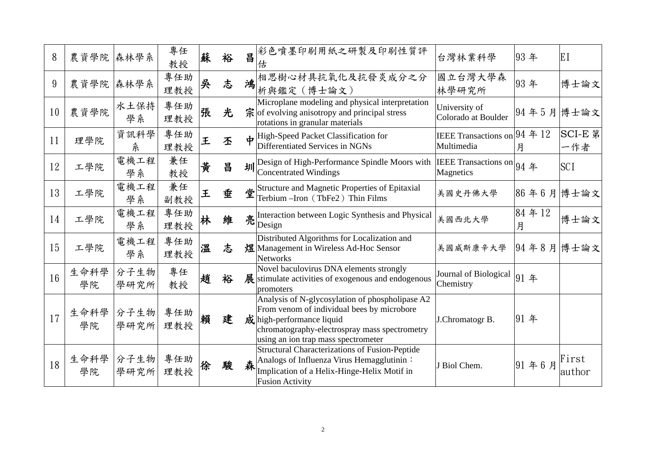| 8  | 農資學院 森林學系                        |                   | 專任<br>教授   | 蘇 | 裕 |   | 昌光色噴墨印刷用紙之研製及印刷性質評<br>估                                                                                                                                                                                                    | 台灣林業科學                                     | 93年              | EI              |
|----|----------------------------------|-------------------|------------|---|---|---|----------------------------------------------------------------------------------------------------------------------------------------------------------------------------------------------------------------------------|--------------------------------------------|------------------|-----------------|
| 9  | 農資學院                             | 森林學系              | 專任助<br>理教授 | 吳 | 志 | 鴻 | 相思樹心材具抗氧化及抗發炎成分之分<br>析與鑑定 (博士論文)                                                                                                                                                                                           | 國立台灣大學森<br>林學研究所                           | 93年              | 博士論文            |
| 10 | 農資學院                             | 水土保持<br>學系        | 專任助<br>理教授 | 張 | 光 |   | Microplane modeling and physical interpretation<br>$\hat{\mathcal{F}}$ of evolving anisotropy and principal stress<br>rotations in granular materials                                                                      | University of<br>Colorado at Boulder       | 94年5月博士論文        |                 |
| 11 | 理學院                              | 資訊科學<br>糸         | 專任助<br>理教授 | 王 | 丕 |   | High-Speed Packet Classification for<br>Differentiated Services in NGNs                                                                                                                                                    | IEEE Transactions on 94 年 12<br>Multimedia | 月                | SCI-E 第<br>一作者  |
| 12 | 工學院                              | 電機工程<br>學系        | 兼任<br>教授   | 黄 | 昌 | 圳 | Design of High-Performance Spindle Moors with<br>Concentrated Windings                                                                                                                                                     | IEEE Transactions on 94 年<br>Magnetics     |                  | <b>SCI</b>      |
| 13 | 工學院                              | 電機工程<br>學系        | 兼任<br>副教授  | 王 | 垂 |   | Structure and Magnetic Properties of Epitaxial<br>Terbium –Iron (TbFe2) Thin Films                                                                                                                                         | 美國史丹佛大學                                    | $ 86 46 5$ 月博士論文 |                 |
| 14 | 工學院                              | 電機工程<br>學系        | 專任助<br>理教授 | 林 | 維 |   | Interaction between Logic Synthesis and Physical<br>亮 $\left  \begin{array}{l} \textrm{Im}\ \textrm{Design} \ \textrm{=} \ \end{array} \right.$                                                                            | 美國西北大學                                     | 84年12<br>月       | 博士論文            |
| 15 | 工學院                              | 電機工程<br>學系        | 專任助<br>理教授 | 溫 | 志 |   | Distributed Algorithms for Localization and<br>煜 Management in Wireless Ad-Hoc Sensor<br>Networks                                                                                                                          | 美國威斯康辛大學                                   | 94年8月博士論文        |                 |
| 16 | 生命科學<br>學院                       | 分子生物<br>學研究所      | 專任<br>教授   | 趙 | 裕 |   | Novel baculovirus DNA elements strongly<br>展 stimulate activities of exogenous and endogenous<br>promoters                                                                                                                 | Journal of Biological<br>Chemistry         | 91年              |                 |
| 17 | 生命科學<br>學院                       | 分子生物 <br>學研究所 理教授 | 專任助        | 賴 | 建 |   | Analysis of N-glycosylation of phospholipase A2<br>From venom of individual bees by microbore<br>$\vec{p}$ high-performance liquid<br>chromatography-electrospray mass spectrometry<br>using an ion trap mass spectrometer | J.Chromatogr B.                            | 91年              |                 |
| 18 | 生命科學 分子生物 專任助 徐<br>學院 學研究所 理教授 徐 |                   |            |   | 駿 | 森 | <b>Structural Characterizations of Fusion-Peptide</b><br>Analogs of Influenza Virus Hemagglutinin:<br>Implication of a Helix-Hinge-Helix Motif in<br><b>Fusion Activity</b>                                                | J Biol Chem.                               | 91年6月            | First<br>author |